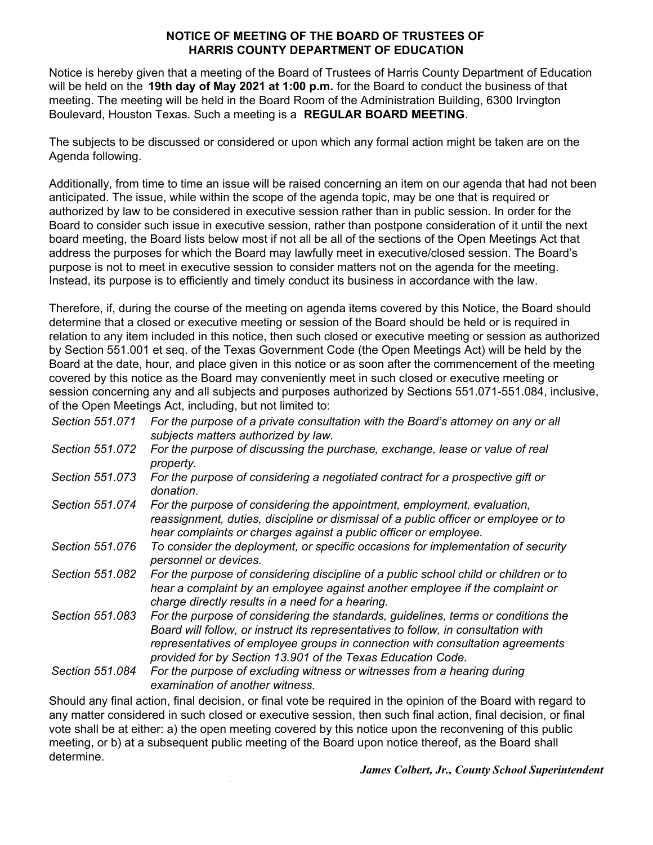## **NOTICE OF MEETING OF THE BOARD OF TRUSTEES OF HARRIS COUNTY DEPARTMENT OF EDUCATION**

Notice is hereby given that a meeting of the Board of Trustees of Harris County Department of Education will be held on the **19th day of May 2021 at 1:00 p.m.** for the Board to conduct the business of that meeting. The meeting will be held in the Board Room of the Administration Building, 6300 Irvington Boulevard, Houston Texas. Such a meeting is a **REGULAR BOARD MEETING**.

The subjects to be discussed or considered or upon which any formal action might be taken are on the Agenda following.

Additionally, from time to time an issue will be raised concerning an item on our agenda that had not been anticipated. The issue, while within the scope of the agenda topic, may be one that is required or authorized by law to be considered in executive session rather than in public session. In order for the Board to consider such issue in executive session, rather than postpone consideration of it until the next board meeting, the Board lists below most if not all be all of the sections of the Open Meetings Act that address the purposes for which the Board may lawfully meet in executive/closed session. The Board's purpose is not to meet in executive session to consider matters not on the agenda for the meeting. Instead, its purpose is to efficiently and timely conduct its business in accordance with the law.

Therefore, if, during the course of the meeting on agenda items covered by this Notice, the Board should determine that a closed or executive meeting or session of the Board should be held or is required in relation to any item included in this notice, then such closed or executive meeting or session as authorized by Section 551.001 et seq. of the Texas Government Code (the Open Meetings Act) will be held by the Board at the date, hour, and place given in this notice or as soon after the commencement of the meeting covered by this notice as the Board may conveniently meet in such closed or executive meeting or session concerning any and all subjects and purposes authorized by Sections 551.071-551.084, inclusive, of the Open Meetings Act, including, but not limited to:

- *Section 551.071 For the purpose of a private consultation with the Board's attorney on any or all subjects matters authorized by law.*
- *Section 551.072 For the purpose of discussing the purchase, exchange, lease or value of real property.*
- *Section 551.073 For the purpose of considering a negotiated contract for a prospective gift or donation.*
- *Section 551.074 For the purpose of considering the appointment, employment, evaluation, reassignment, duties, discipline or dismissal of a public officer or employee or to hear complaints or charges against a public officer or employee.*
- *Section 551.076 To consider the deployment, or specific occasions for implementation of security personnel or devices.*
- *Section 551.082 For the purpose of considering discipline of a public school child or children or to hear a complaint by an employee against another employee if the complaint or charge directly results in a need for a hearing.*
- *Section 551.083 For the purpose of considering the standards, guidelines, terms or conditions the Board will follow, or instruct its representatives to follow, in consultation with representatives of employee groups in connection with consultation agreements provided for by Section 13.901 of the Texas Education Code.*

*Section 551.084 For the purpose of excluding witness or witnesses from a hearing during examination of another witness.*

Should any final action, final decision, or final vote be required in the opinion of the Board with regard to any matter considered in such closed or executive session, then such final action, final decision, or final vote shall be at either: a) the open meeting covered by this notice upon the reconvening of this public meeting, or b) at a subsequent public meeting of the Board upon notice thereof, as the Board shall determine.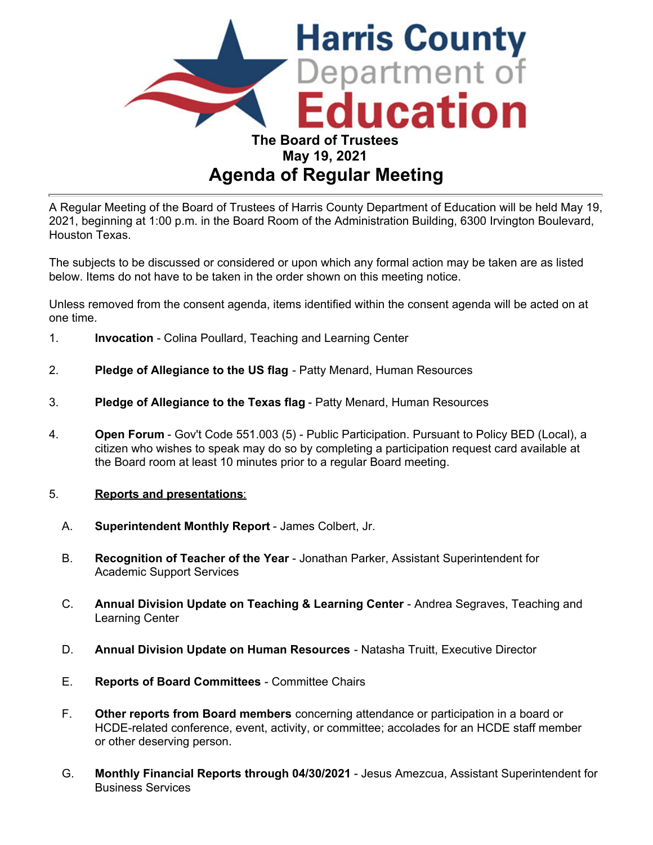

A Regular Meeting of the Board of Trustees of Harris County Department of Education will be held May 19, 2021, beginning at 1:00 p.m. in the Board Room of the Administration Building, 6300 Irvington Boulevard, Houston Texas.

The subjects to be discussed or considered or upon which any formal action may be taken are as listed below. Items do not have to be taken in the order shown on this meeting notice.

Unless removed from the consent agenda, items identified within the consent agenda will be acted on at one time.

- 1. **Invocation** Colina Poullard, Teaching and Learning Center
- 2. **Pledge of Allegiance to the US flag** Patty Menard, Human Resources
- 3. **Pledge of Allegiance to the Texas flag** Patty Menard, Human Resources
- 4. **Open Forum** Gov't Code 551.003 (5) Public Participation. Pursuant to Policy BED (Local), a citizen who wishes to speak may do so by completing a participation request card available at the Board room at least 10 minutes prior to a regular Board meeting.

#### 5. **Reports and presentations**:

- A. **Superintendent Monthly Report** James Colbert, Jr.
- B. **Recognition of Teacher of the Year** Jonathan Parker, Assistant Superintendent for Academic Support Services
- C. **Annual Division Update on Teaching & Learning Center**  Andrea Segraves, Teaching and Learning Center
- D. **Annual Division Update on Human Resources** Natasha Truitt, Executive Director
- E. **Reports of Board Committees** Committee Chairs
- F. **Other reports from Board members** concerning attendance or participation in a board or HCDE-related conference, event, activity, or committee; accolades for an HCDE staff member or other deserving person.
- G. **Monthly Financial Reports through 04/30/2021**  Jesus Amezcua, Assistant Superintendent for Business Services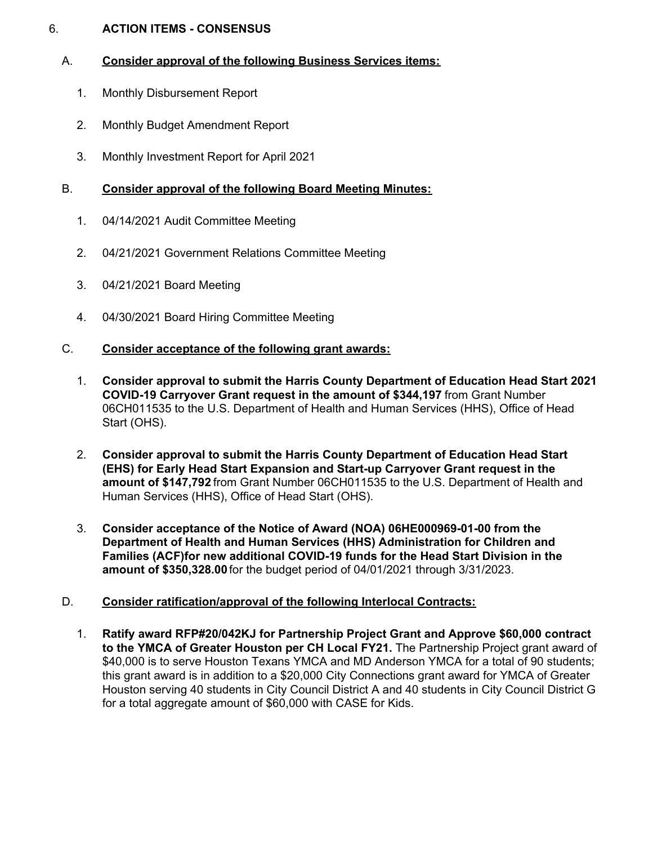## 6. **ACTION ITEMS - CONSENSUS**

# A. **Consider approval of the following Business Services items:**

- 1. Monthly Disbursement Report
- 2. Monthly Budget Amendment Report
- 3. Monthly Investment Report for April 2021

# B. **Consider approval of the following Board Meeting Minutes:**

- 1. 04/14/2021 Audit Committee Meeting
- 2. 04/21/2021 Government Relations Committee Meeting
- 3. 04/21/2021 Board Meeting
- 4. 04/30/2021 Board Hiring Committee Meeting

# C. **Consider acceptance of the following grant awards:**

- 1. **Consider approval to submit the Harris County Department of Education Head Start 2021 COVID-19 Carryover Grant request in the amount of \$344,197** from Grant Number 06CH011535 to the U.S. Department of Health and Human Services (HHS), Office of Head Start (OHS).
- 2. **Consider approval to submit the Harris County Department of Education Head Start (EHS) for Early Head Start Expansion and Start-up Carryover Grant request in the amount of \$147,792** from Grant Number 06CH011535 to the U.S. Department of Health and Human Services (HHS), Office of Head Start (OHS).
- 3. **Consider acceptance of the Notice of Award (NOA) 06HE000969-01-00 from the Department of Health and Human Services (HHS) Administration for Children and Families (ACF)for new additional COVID-19 funds for the Head Start Division in the amount of [\\$350,328.00](https://350,328.00)** for the budget period of 04/01/2021 through 3/31/2023.

# D. **Consider ratification/approval of the following Interlocal Contracts:**

1. **Ratify award RFP#20/042KJ for Partnership Project Grant and Approve \$60,000 contract to the YMCA of Greater Houston per CH Local FY21.** The Partnership Project grant award of \$40,000 is to serve Houston Texans YMCA and MD Anderson YMCA for a total of 90 students; this grant award is in addition to a \$20,000 City Connections grant award for YMCA of Greater Houston serving 40 students in City Council District A and 40 students in City Council District G for a total aggregate amount of \$60,000 with CASE for Kids.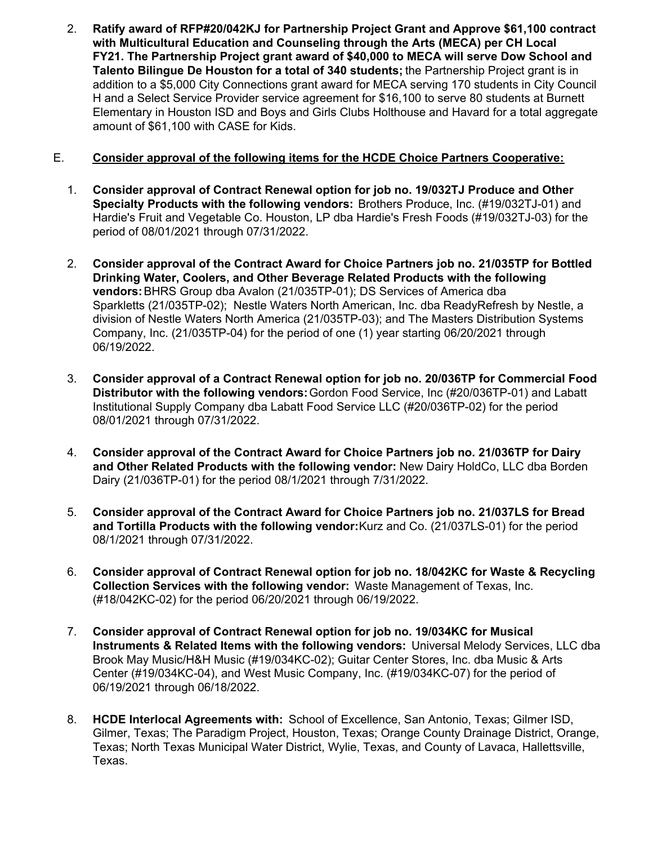2. **Ratify award of RFP#20/042KJ for Partnership Project Grant and Approve \$61,100 contract with Multicultural Education and Counseling through the Arts (MECA) per CH Local FY21. The Partnership Project grant award of \$40,000 to MECA will serve Dow School and Talento Bilingue De Houston for a total of 340 students;** the Partnership Project grant is in addition to a \$5,000 City Connections grant award for MECA serving 170 students in City Council H and a Select Service Provider service agreement for \$16,100 to serve 80 students at Burnett Elementary in Houston ISD and Boys and Girls Clubs Holthouse and Havard for a total aggregate amount of \$61,100 with CASE for Kids.

# E. **Consider approval of the following items for the HCDE Choice Partners Cooperative:**

- 1. **Consider approval of Contract Renewal option for job no. 19/032TJ Produce and Other Specialty Products with the following vendors:** Brothers Produce, Inc. (#19/032TJ-01) and Hardie's Fruit and Vegetable Co. Houston, LP dba Hardie's Fresh Foods (#19/032TJ-03) for the period of 08/01/2021 through 07/31/2022.
- 2. **Consider approval of the Contract Award for Choice Partners job no. 21/035TP for Bottled Drinking Water, Coolers, and Other Beverage Related Products with the following vendors:** BHRS Group dba Avalon (21/035TP-01); DS Services of America dba Sparkletts (21/035TP-02); Nestle Waters North American, Inc. dba ReadyRefresh by Nestle, a division of Nestle Waters North America (21/035TP-03); and The Masters Distribution Systems Company, Inc. (21/035TP-04) for the period of one (1) year starting 06/20/2021 through 06/19/2022.
- 3. **Consider approval of a Contract Renewal option for job no. 20/036TP for Commercial Food Distributor with the following vendors:** Gordon Food Service, Inc (#20/036TP-01) and Labatt Institutional Supply Company dba Labatt Food Service LLC (#20/036TP-02) for the period 08/01/2021 through 07/31/2022.
- 4. **Consider approval of the Contract Award for Choice Partners job no. 21/036TP for Dairy and Other Related Products with the following vendor:** New Dairy HoldCo, LLC dba Borden Dairy (21/036TP-01) for the period 08/1/2021 through 7/31/2022.
- 5. **Consider approval of the Contract Award for Choice Partners job no. 21/037LS for Bread and Tortilla Products with the following vendor:**Kurz and Co. (21/037LS-01) for the period 08/1/2021 through 07/31/2022.
- 6. **Consider approval of Contract Renewal option for job no. 18/042KC for Waste & Recycling Collection Services with the following vendor:** Waste Management of Texas, Inc. (#18/042KC-02) for the period 06/20/2021 through 06/19/2022.
- 7. **Consider approval of Contract Renewal option for job no. 19/034KC for Musical Instruments & Related Items with the following vendors:** Universal Melody Services, LLC dba Brook May Music/H&H Music (#19/034KC-02); Guitar Center Stores, Inc. dba Music & Arts Center (#19/034KC-04), and West Music Company, Inc. (#19/034KC-07) for the period of 06/19/2021 through 06/18/2022.
- 8. **HCDE Interlocal Agreements with:** School of Excellence, San Antonio, Texas; Gilmer ISD, Gilmer, Texas; The Paradigm Project, Houston, Texas; Orange County Drainage District, Orange, Texas; North Texas Municipal Water District, Wylie, Texas, and County of Lavaca, Hallettsville, Texas.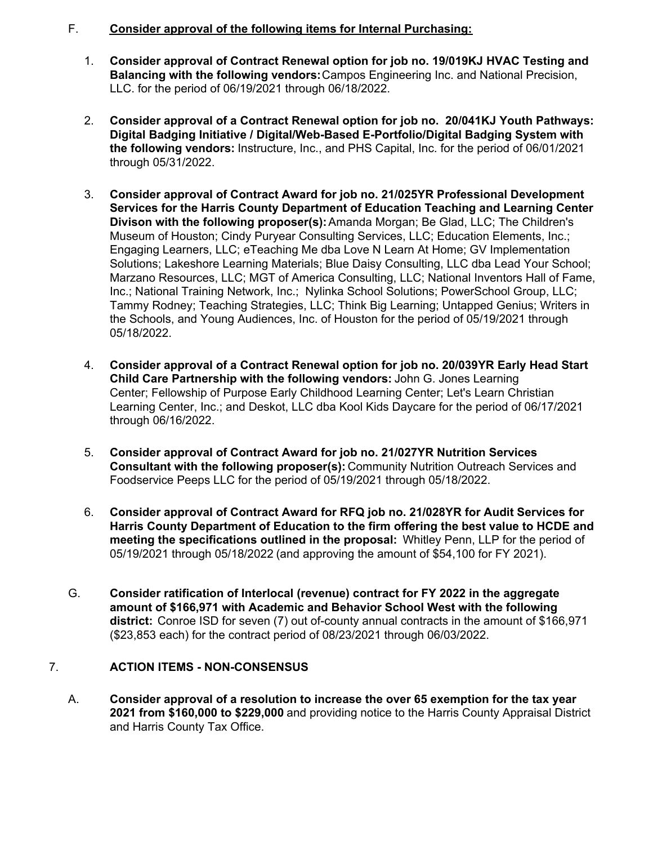# F. **Consider approval of the following items for Internal Purchasing:**

- 1. **Consider approval of Contract Renewal option for job no. 19/019KJ HVAC Testing and Balancing with the following vendors:**Campos Engineering Inc. and National Precision, LLC. for the period of 06/19/2021 through 06/18/2022.
- 2. **Consider approval of a Contract Renewal option for job no. 20/041KJ Youth Pathways: Digital Badging Initiative / Digital/Web-Based E-Portfolio/Digital Badging System with the following vendors:** Instructure, Inc., and PHS Capital, Inc. for the period of 06/01/2021 through 05/31/2022.
- 3. **Consider approval of Contract Award for job no. 21/025YR Professional Development Services for the Harris County Department of Education Teaching and Learning Center Divison with the following proposer(s):** Amanda Morgan; Be Glad, LLC; The Children's Museum of Houston; Cindy Puryear Consulting Services, LLC; Education Elements, Inc.; Engaging Learners, LLC; eTeaching Me dba Love N Learn At Home; GV Implementation Solutions; Lakeshore Learning Materials; Blue Daisy Consulting, LLC dba Lead Your School; Marzano Resources, LLC; MGT of America Consulting, LLC; National Inventors Hall of Fame, Inc.; National Training Network, Inc.; Nylinka School Solutions; PowerSchool Group, LLC; Tammy Rodney; Teaching Strategies, LLC; Think Big Learning; Untapped Genius; Writers in the Schools, and Young Audiences, Inc. of Houston for the period of 05/19/2021 through 05/18/2022.
- 4. **Consider approval of a Contract Renewal option for job no. 20/039YR Early Head Start Child Care Partnership with the following vendors:** John G. Jones Learning Center; Fellowship of Purpose Early Childhood Learning Center; Let's Learn Christian Learning Center, Inc.; and Deskot, LLC dba Kool Kids Daycare for the period of 06/17/2021 through 06/16/2022.
- 5. **Consider approval of Contract Award for job no. 21/027YR Nutrition Services Consultant with the following proposer(s):** Community Nutrition Outreach Services and Foodservice Peeps LLC for the period of 05/19/2021 through 05/18/2022.
- 6. **Consider approval of Contract Award for RFQ job no. 21/028YR for Audit Services for Harris County Department of Education to the firm offering the best value to HCDE and meeting the specifications outlined in the proposal:** Whitley Penn, LLP for the period of 05/19/2021 through 05/18/2022 (and approving the amount of \$54,100 for FY 2021).
- G. **Consider ratification of Interlocal (revenue) contract for FY 2022 in the aggregate amount of \$166,971 with Academic and Behavior School West with the following district:** Conroe ISD for seven (7) out of-county annual contracts in the amount of \$166,971 (\$23,853 each) for the contract period of 08/23/2021 through 06/03/2022.

# 7. **ACTION ITEMS - NON-CONSENSUS**

A. **Consider approval of a resolution to increase the over 65 exemption for the tax year 2021 from \$160,000 to \$229,000** and providing notice to the Harris County Appraisal District and Harris County Tax Office.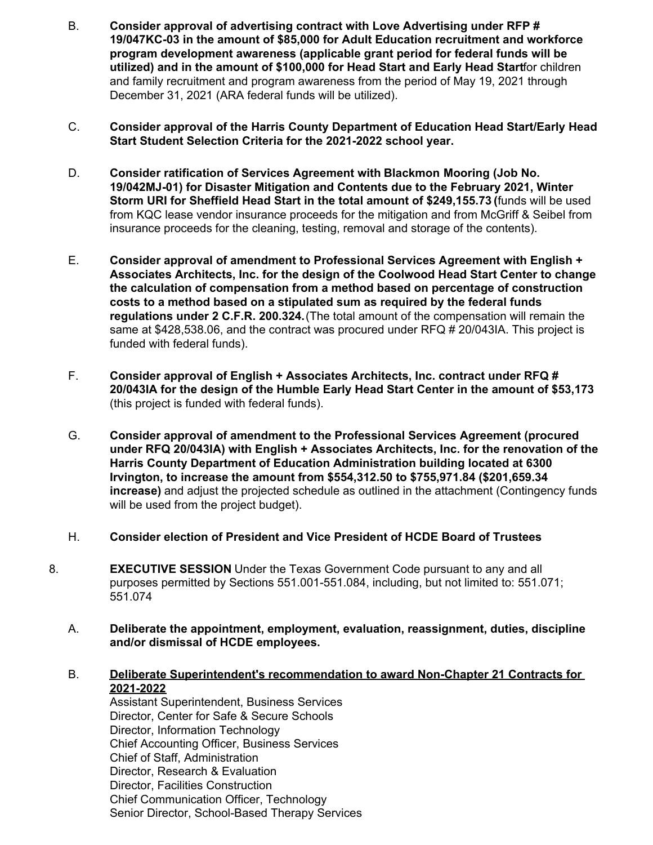- B. **Consider approval of advertising contract with Love Advertising under RFP # 19/047KC-03 in the amount of \$85,000 for Adult Education recruitment and workforce program development awareness (applicable grant period for federal funds will be utilized) and in the amount of \$100,000 for Head Start and Early Head Start**for children and family recruitment and program awareness from the period of May 19, 2021 through December 31, 2021 (ARA federal funds will be utilized).
- C. **Consider approval of the Harris County Department of Education Head Start/Early Head Start Student Selection Criteria for the 2021-2022 school year.**
- D. **Consider ratification of Services Agreement with Blackmon Mooring (Job No. 19/042MJ-01) for Disaster Mitigation and Contents due to the February 2021, Winter Storm URI for Sheffield Head Start in the total amount of [\\$249,155.73](https://249,155.73) (**funds will be used from KQC lease vendor insurance proceeds for the mitigation and from McGriff & Seibel from insurance proceeds for the cleaning, testing, removal and storage of the contents).
- E. **Consider approval of amendment to Professional Services Agreement with English + Associates Architects, Inc. for the design of the Coolwood Head Start Center to change the calculation of compensation from a method based on percentage of construction costs to a method based on a stipulated sum as required by the federal funds regulations under 2 C.F.R. 200.324.**(The total amount of the compensation will remain the same at [\\$428,538.06](https://428,538.06), and the contract was procured under RFQ # 20/043IA. This project is funded with federal funds).
- F. **Consider approval of English + Associates Architects, Inc. contract under RFQ # 20/043IA for the design of the Humble Early Head Start Center in the amount of \$53,173** (this project is funded with federal funds).
- G. **Consider approval of amendment to the Professional Services Agreement (procured under RFQ 20/043IA) with English + Associates Architects, Inc. for the renovation of the Harris County Department of Education Administration building located at 6300 Irvington, to increase the amount from [\\$554,312.50](https://554,312.50) to \$[755,971.84](https://755,971.84) (\$[201,659.34](https://201,659.34) increase)** and adjust the projected schedule as outlined in the attachment (Contingency funds will be used from the project budget).
- H. **Consider election of President and Vice President of HCDE Board of Trustees**
- 8. **EXECUTIVE SESSION** Under the Texas Government Code pursuant to any and all purposes permitted by Sections 551.001-551.084, including, but not limited to: 551.071; 551.074
	- A. **Deliberate the appointment, employment, evaluation, reassignment, duties, discipline and/or dismissal of HCDE employees.**
	- B. **Deliberate Superintendent's recommendation to award Non-Chapter 21 Contracts for 2021-2022**

Assistant Superintendent, Business Services Director, Center for Safe & Secure Schools Director, Information Technology Chief Accounting Officer, Business Services Chief of Staff, Administration Director, Research & Evaluation Director, Facilities Construction Chief Communication Officer, Technology Senior Director, School-Based Therapy Services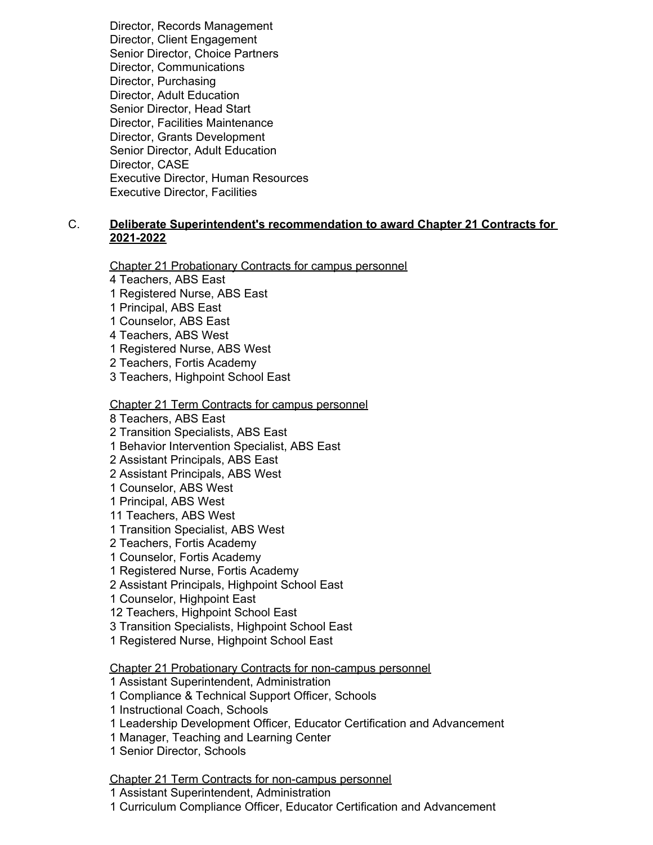Director, Records Management Director, Client Engagement Senior Director, Choice Partners Director, Communications Director, Purchasing Director, Adult Education Senior Director, Head Start Director, Facilities Maintenance Director, Grants Development Senior Director, Adult Education Director, CASE Executive Director, Human Resources Executive Director, Facilities

## C. **Deliberate Superintendent's recommendation to award Chapter 21 Contracts for 2021-2022**

Chapter 21 Probationary Contracts for campus personnel

- 4 Teachers, ABS East
- 1 Registered Nurse, ABS East
- 1 Principal, ABS East
- 1 Counselor, ABS East
- 4 Teachers, ABS West
- 1 Registered Nurse, ABS West
- 2 Teachers, Fortis Academy
- 3 Teachers, Highpoint School East

#### Chapter 21 Term Contracts for campus personnel

8 Teachers, ABS East

- 2 Transition Specialists, ABS East
- 1 Behavior Intervention Specialist, ABS East
- 2 Assistant Principals, ABS East
- 2 Assistant Principals, ABS West
- 1 Counselor, ABS West
- 1 Principal, ABS West
- 11 Teachers, ABS West
- 1 Transition Specialist, ABS West
- 2 Teachers, Fortis Academy
- 1 Counselor, Fortis Academy
- 1 Registered Nurse, Fortis Academy
- 2 Assistant Principals, Highpoint School East
- 1 Counselor, Highpoint East
- 12 Teachers, Highpoint School East
- 3 Transition Specialists, Highpoint School East
- 1 Registered Nurse, Highpoint School East

Chapter 21 Probationary Contracts for non-campus personnel

- 1 Assistant Superintendent, Administration
- 1 Compliance & Technical Support Officer, Schools
- 1 Instructional Coach, Schools
- 1 Leadership Development Officer, Educator Certification and Advancement
- 1 Manager, Teaching and Learning Center
- 1 Senior Director, Schools

#### Chapter 21 Term Contracts for non-campus personnel

1 Assistant Superintendent, Administration

1 Curriculum Compliance Officer, Educator Certification and Advancement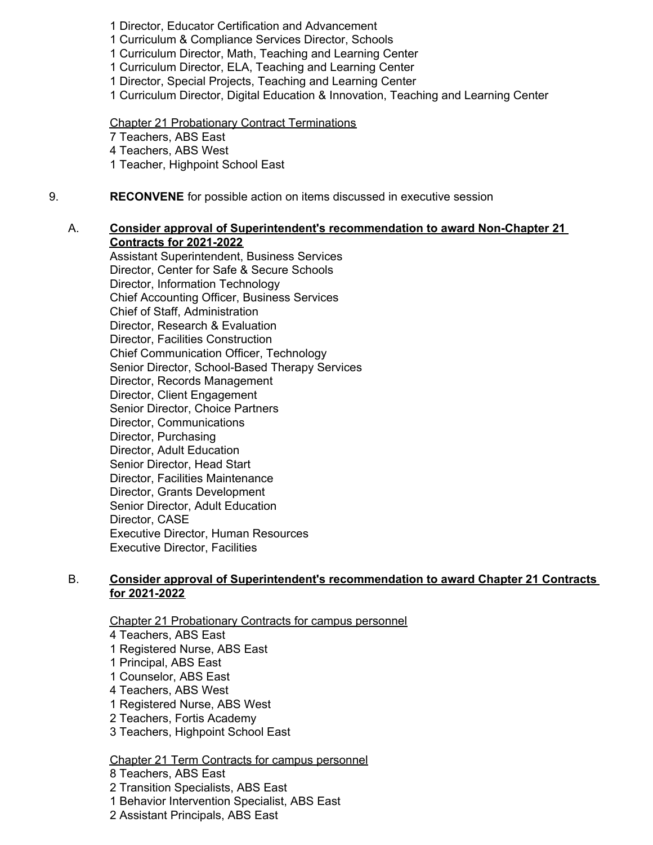- 1 Director, Educator Certification and Advancement
- 1 Curriculum & Compliance Services Director, Schools
- 1 Curriculum Director, Math, Teaching and Learning Center
- 1 Curriculum Director, ELA, Teaching and Learning Center
- 1 Director, Special Projects, Teaching and Learning Center
- 1 Curriculum Director, Digital Education & Innovation, Teaching and Learning Center

Chapter 21 Probationary Contract Terminations 7 Teachers, ABS East 4 Teachers, ABS West 1 Teacher, Highpoint School East

9. **RECONVENE** for possible action on items discussed in executive session

#### A. **Consider approval of Superintendent's recommendation to award Non-Chapter 21 Contracts for 2021-2022**

Assistant Superintendent, Business Services Director, Center for Safe & Secure Schools Director, Information Technology Chief Accounting Officer, Business Services Chief of Staff, Administration Director, Research & Evaluation Director, Facilities Construction Chief Communication Officer, Technology Senior Director, School-Based Therapy Services Director, Records Management Director, Client Engagement Senior Director, Choice Partners Director, Communications Director, Purchasing Director, Adult Education Senior Director, Head Start Director, Facilities Maintenance Director, Grants Development Senior Director, Adult Education Director, CASE Executive Director, Human Resources Executive Director, Facilities

## B. **Consider approval of Superintendent's recommendation to award Chapter 21 Contracts for 2021-2022**

Chapter 21 Probationary Contracts for campus personnel

- 4 Teachers, ABS East
- 1 Registered Nurse, ABS East
- 1 Principal, ABS East
- 1 Counselor, ABS East
- 4 Teachers, ABS West
- 1 Registered Nurse, ABS West
- 2 Teachers, Fortis Academy
- 3 Teachers, Highpoint School East

Chapter 21 Term Contracts for campus personnel

- 8 Teachers, ABS East
- 2 Transition Specialists, ABS East
- 1 Behavior Intervention Specialist, ABS East
- 2 Assistant Principals, ABS East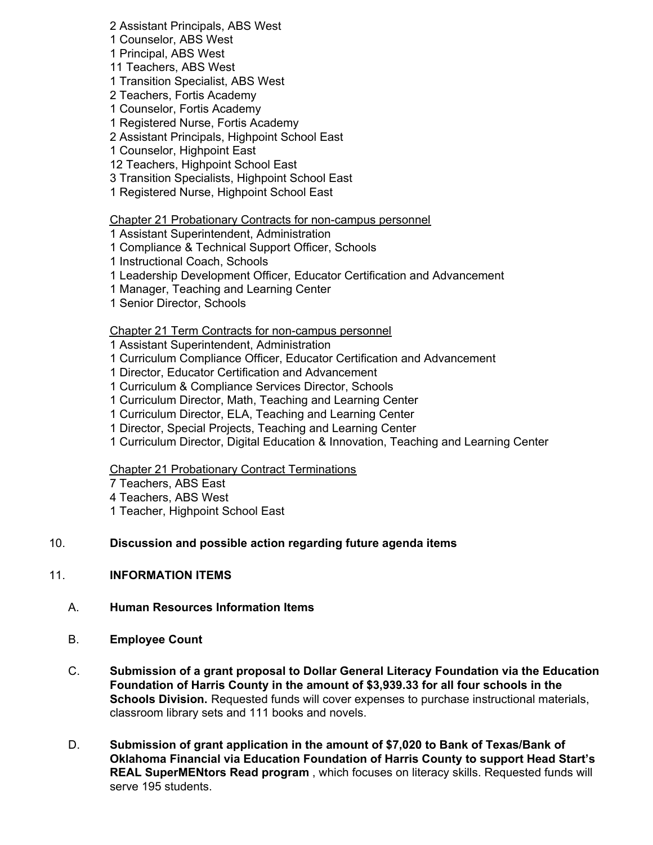2 Assistant Principals, ABS West

1 Counselor, ABS West

- 1 Principal, ABS West
- 11 Teachers, ABS West
- 1 Transition Specialist, ABS West
- 2 Teachers, Fortis Academy
- 1 Counselor, Fortis Academy
- 1 Registered Nurse, Fortis Academy
- 2 Assistant Principals, Highpoint School East
- 1 Counselor, Highpoint East
- 12 Teachers, Highpoint School East
- 3 Transition Specialists, Highpoint School East
- 1 Registered Nurse, Highpoint School East

#### Chapter 21 Probationary Contracts for non-campus personnel

- 1 Assistant Superintendent, Administration
- 1 Compliance & Technical Support Officer, Schools
- 1 Instructional Coach, Schools
- 1 Leadership Development Officer, Educator Certification and Advancement
- 1 Manager, Teaching and Learning Center
- 1 Senior Director, Schools

## Chapter 21 Term Contracts for non-campus personnel

- 1 Assistant Superintendent, Administration
- 1 Curriculum Compliance Officer, Educator Certification and Advancement
- 1 Director, Educator Certification and Advancement
- 1 Curriculum & Compliance Services Director, Schools
- 1 Curriculum Director, Math, Teaching and Learning Center
- 1 Curriculum Director, ELA, Teaching and Learning Center
- 1 Director, Special Projects, Teaching and Learning Center
- 1 Curriculum Director, Digital Education & Innovation, Teaching and Learning Center

#### Chapter 21 Probationary Contract Terminations

- 7 Teachers, ABS East
- 4 Teachers, ABS West
- 1 Teacher, Highpoint School East

## 10. **Discussion and possible action regarding future agenda items**

## 11. **INFORMATION ITEMS**

- A. **Human Resources Information Items**
- B. **Employee Count**
- C. **Submission of a grant proposal to Dollar General Literacy Foundation via the Education Foundation of Harris County in the amount of \$[3,939.33](https://3,939.33) for all four schools in the Schools Division.** Requested funds will cover expenses to purchase instructional materials, classroom library sets and 111 books and novels.
- D. **Submission of grant application in the amount of \$7,020 to Bank of Texas/Bank of Oklahoma Financial via Education Foundation of Harris County to support Head Start's REAL SuperMENtors Read program** , which focuses on literacy skills. Requested funds will serve 195 students.